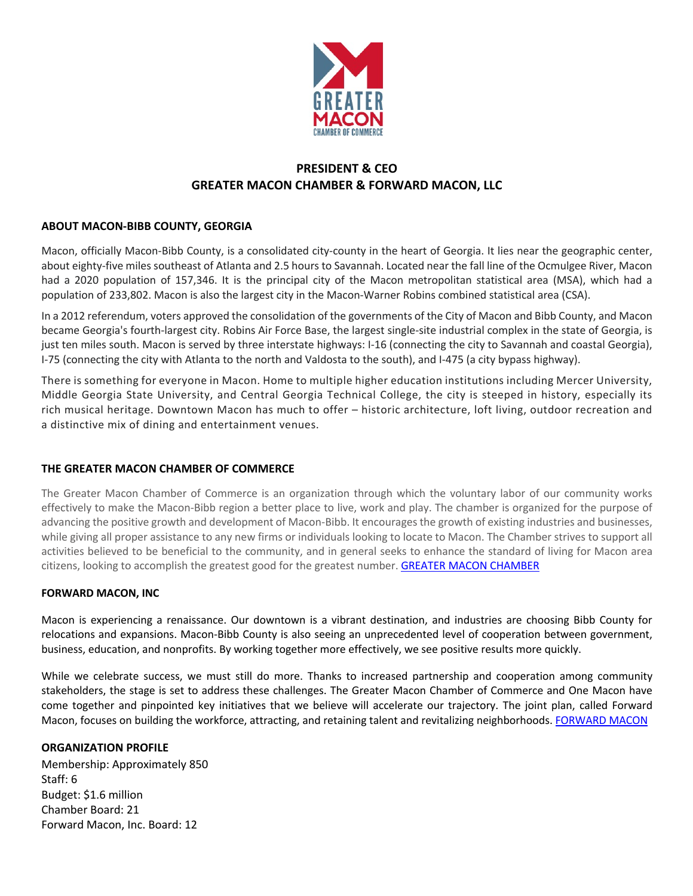

# **PRESIDENT & CEO GREATER MACON CHAMBER & FORWARD MACON, LLC**

## **ABOUT MACON-BIBB COUNTY, GEORGIA**

Macon, officially Macon-Bibb County, is a consolidated city-county in the heart of Georgia. It lies near the geographic center, about eighty-five miles southeast of Atlanta and 2.5 hours to Savannah. Located near the fall line of the Ocmulgee River, Macon had a 2020 population of 157,346. It is the principal city of the Macon metropolitan statistical area (MSA), which had a population of 233,802. Macon is also the largest city in the Macon-Warner Robins combined statistical area (CSA).

In a 2012 referendum, voters approved the consolidation of the governments of the City of Macon and Bibb County, and Macon became Georgia's fourth-largest city. Robins Air Force Base, the largest single-site industrial complex in the state of Georgia, is just ten miles south. Macon is served by three interstate highways: I-16 (connecting the city to Savannah and coastal Georgia), I-75 (connecting the city with Atlanta to the north and Valdosta to the south), and I-475 (a city bypass highway).

There is something for everyone in Macon. Home to multiple higher education institutions including Mercer University, Middle Georgia State University, and Central Georgia Technical College, the city is steeped in history, especially its rich musical heritage. Downtown Macon has much to offer – historic architecture, loft living, outdoor recreation and a distinctive mix of dining and entertainment venues.

## **THE GREATER MACON CHAMBER OF COMMERCE**

The Greater Macon Chamber of Commerce is an organization through which the voluntary labor of our community works effectively to make the Macon-Bibb region a better place to live, work and play. The chamber is organized for the purpose of advancing the positive growth and development of Macon-Bibb. It encourages the growth of existing industries and businesses, while giving all proper assistance to any new firms or individuals looking to locate to Macon. The Chamber strives to support all activities believed to be beneficial to the community, and in general seeks to enhance the standard of living for Macon area citizens, looking to accomplish the greatest good for the greatest number. [GREATER MACON CHAMBER](https://www.maconchamber.com)

## **FORWARD MACON, INC**

Macon is experiencing a renaissance. Our downtown is a vibrant destination, and industries are choosing Bibb County for relocations and expansions. Macon-Bibb County is also seeing an unprecedented level of cooperation between government, business, education, and nonprofits. By working together more effectively, we see positive results more quickly.

While we celebrate success, we must still do more. Thanks to increased partnership and cooperation among community stakeholders, the stage is set to address these challenges. The Greater Macon Chamber of Commerce and One Macon have come together and pinpointed key initiatives that we believe will accelerate our trajectory. The joint plan, called Forward Macon, focuses on building the workforce, attracting, and retaining talent and revitalizing neighborhoods. [FORWARD MACON](https://www.maconchamber.com/forward-macon)

## **ORGANIZATION PROFILE**

Membership: Approximately 850 Staff: 6 Budget: \$1.6 million Chamber Board: 21 Forward Macon, Inc. Board: 12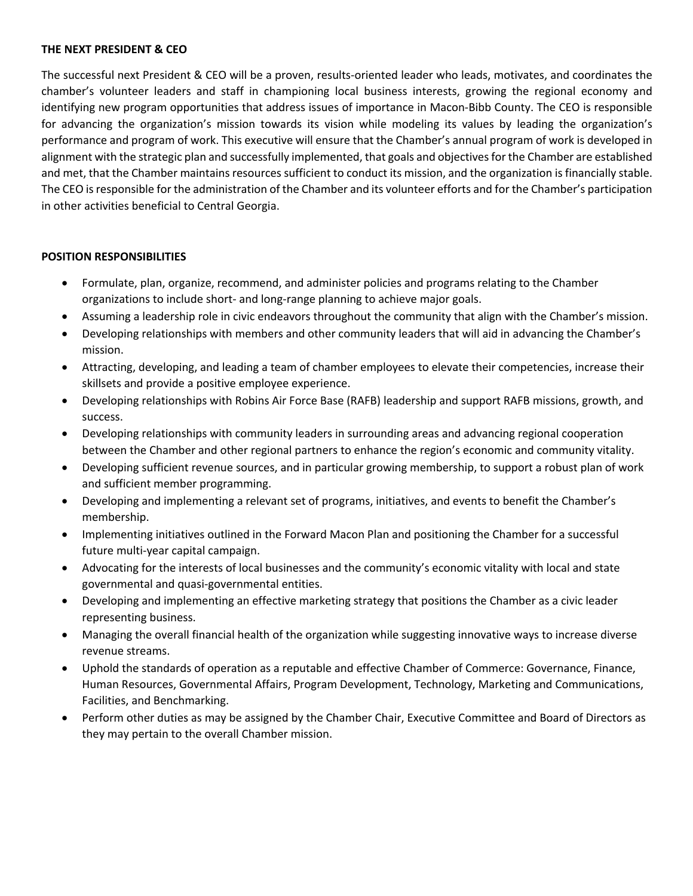## **THE NEXT PRESIDENT & CEO**

The successful next President & CEO will be a proven, results-oriented leader who leads, motivates, and coordinates the chamber's volunteer leaders and staff in championing local business interests, growing the regional economy and identifying new program opportunities that address issues of importance in Macon-Bibb County. The CEO is responsible for advancing the organization's mission towards its vision while modeling its values by leading the organization's performance and program of work. This executive will ensure that the Chamber's annual program of work is developed in alignment with the strategic plan and successfully implemented, that goals and objectives for the Chamber are established and met, that the Chamber maintains resources sufficient to conduct its mission, and the organization is financially stable. The CEO is responsible for the administration of the Chamber and its volunteer efforts and for the Chamber's participation in other activities beneficial to Central Georgia.

#### **POSITION RESPONSIBILITIES**

- Formulate, plan, organize, recommend, and administer policies and programs relating to the Chamber organizations to include short- and long-range planning to achieve major goals.
- Assuming a leadership role in civic endeavors throughout the community that align with the Chamber's mission.
- Developing relationships with members and other community leaders that will aid in advancing the Chamber's mission.
- Attracting, developing, and leading a team of chamber employees to elevate their competencies, increase their skillsets and provide a positive employee experience.
- Developing relationships with Robins Air Force Base (RAFB) leadership and support RAFB missions, growth, and success.
- Developing relationships with community leaders in surrounding areas and advancing regional cooperation between the Chamber and other regional partners to enhance the region's economic and community vitality.
- Developing sufficient revenue sources, and in particular growing membership, to support a robust plan of work and sufficient member programming.
- Developing and implementing a relevant set of programs, initiatives, and events to benefit the Chamber's membership.
- Implementing initiatives outlined in the Forward Macon Plan and positioning the Chamber for a successful future multi-year capital campaign.
- Advocating for the interests of local businesses and the community's economic vitality with local and state governmental and quasi-governmental entities.
- Developing and implementing an effective marketing strategy that positions the Chamber as a civic leader representing business.
- Managing the overall financial health of the organization while suggesting innovative ways to increase diverse revenue streams.
- Uphold the standards of operation as a reputable and effective Chamber of Commerce: Governance, Finance, Human Resources, Governmental Affairs, Program Development, Technology, Marketing and Communications, Facilities, and Benchmarking.
- Perform other duties as may be assigned by the Chamber Chair, Executive Committee and Board of Directors as they may pertain to the overall Chamber mission.